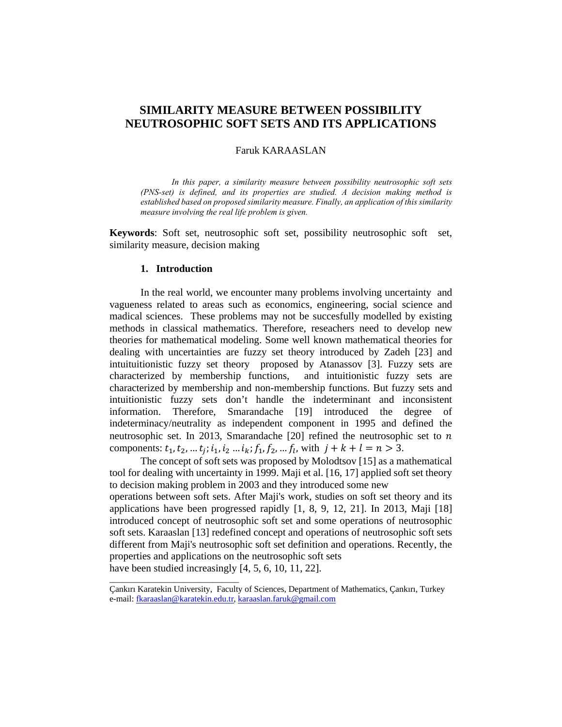# **SIMILARITY MEASURE BETWEEN POSSIBILITY NEUTROSOPHIC SOFT SETS AND ITS APPLICATIONS**

### Faruk KARAASLAN

*In this paper, a similarity measure between possibility neutrosophic soft sets (PNS-set) is defined, and its properties are studied. A decision making method is established based on proposed similarity measure. Finally, an application of this similarity measure involving the real life problem is given.* 

**Keywords**: Soft set, neutrosophic soft set, possibility neutrosophic soft set, similarity measure, decision making

#### **1. Introduction**

In the real world, we encounter many problems involving uncertainty and vagueness related to areas such as economics, engineering, social science and madical sciences. These problems may not be succesfully modelled by existing methods in classical mathematics. Therefore, reseachers need to develop new theories for mathematical modeling. Some well known mathematical theories for dealing with uncertainties are fuzzy set theory introduced by Zadeh [23] and intuituitionistic fuzzy set theory proposed by Atanassov [3]. Fuzzy sets are characterized by membership functions, and intuitionistic fuzzy sets are characterized by membership and non-membership functions. But fuzzy sets and intuitionistic fuzzy sets don't handle the indeterminant and inconsistent information. Therefore, Smarandache [19] introduced the degree of indeterminacy/neutrality as independent component in 1995 and defined the neutrosophic set. In 2013, Smarandache [20] refined the neutrosophic set to  $n$ components:  $t_1, t_2, ..., t_i$ ;  $i_1, i_2, ..., i_k$ ;  $f_1, f_2, ..., f_l$ , with  $j + k + l = n > 3$ .

The concept of soft sets was proposed by Molodtsov [15] as a mathematical tool for dealing with uncertainty in 1999. Maji et al. [16, 17] applied soft set theory to decision making problem in 2003 and they introduced some new operations between soft sets. After Maji's work, studies on soft set theory and its applications have been progressed rapidly [1, 8, 9, 12, 21]. In 2013, Maji [18] introduced concept of neutrosophic soft set and some operations of neutrosophic soft sets. Karaaslan [13] redefined concept and operations of neutrosophic soft sets different from Maji's neutrosophic soft set definition and operations. Recently, the properties and applications on the neutrosophic soft sets

have been studied increasingly [4, 5, 6, 10, 11, 22].

\_\_\_\_\_\_\_\_\_\_\_\_\_\_\_\_\_\_\_\_\_\_\_\_\_\_\_\_\_\_

Çankırı Karatekin University, Faculty of Sciences, Department of Mathematics, Çankırı, Turkey e-mail: fkaraaslan@karatekin.edu.tr, karaaslan.faruk@gmail.com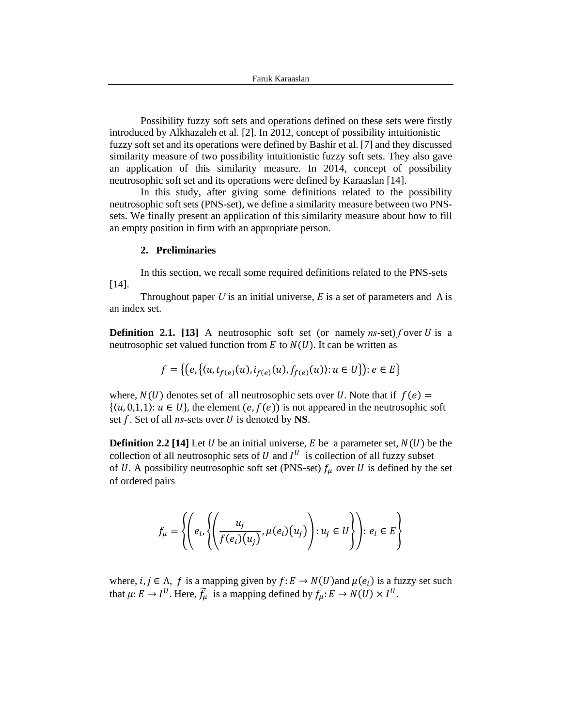Possibility fuzzy soft sets and operations defined on these sets were firstly introduced by Alkhazaleh et al. [2]. In 2012, concept of possibility intuitionistic fuzzy soft set and its operations were defined by Bashir et al. [7] and they discussed similarity measure of two possibility intuitionistic fuzzy soft sets. They also gave an application of this similarity measure. In 2014, concept of possibility neutrosophic soft set and its operations were defined by Karaaslan [14].

In this study, after giving some definitions related to the possibility neutrosophic soft sets (PNS-set), we define a similarity measure between two PNSsets. We finally present an application of this similarity measure about how to fill an empty position in firm with an appropriate person.

### **2. Preliminaries**

In this section, we recall some required definitions related to the PNS-sets [14].

Throughout paper *U* is an initial universe, *E* is a set of parameters and  $\Lambda$  is an index set.

**Definition 2.1.** [13] A neutrosophic soft set (or namely *ns*-set) *f* over *U* is a neutrosophic set valued function from  $E$  to  $N(U)$ . It can be written as

$$
f = \{ (e, \{(u, t_{f(e)}(u), i_{f(e)}(u), f_{f(e)}(u)) : u \in U \}) : e \in E \}
$$

where,  $N(U)$  denotes set of all neutrosophic sets over U. Note that if  $f(e)$  =  $\{(u, 0,1,1): u \in U\}$ , the element  $(e, f(e))$  is not appeared in the neutrosophic soft set *f*. Set of all *ns*-sets over *U* is denoted by **NS**.

**Definition 2.2** [14] Let U be an initial universe, E be a parameter set,  $N(U)$  be the collection of all neutrosophic sets of  $U$  and  $I^U$  is collection of all fuzzy subset of U. A possibility neutrosophic soft set (PNS-set)  $f_{\mu}$  over U is defined by the set of ordered pairs

$$
f_{\mu} = \left\{ \left( e_i, \left\{ \left( \frac{u_j}{f(e_i)(u_j)}, \mu(e_i)(u_j) \right) : u_j \in U \right\} \right) : e_i \in E \right\}
$$

where,  $i, j \in \Lambda$ , f is a mapping given by  $f: E \to N(U)$  and  $\mu(e_i)$  is a fuzzy set such that  $\mu: E \to I^U$ . Here,  $\tilde{f}_\mu$  is a mapping defined by  $f_\mu: E \to N(U) \times I^U$ .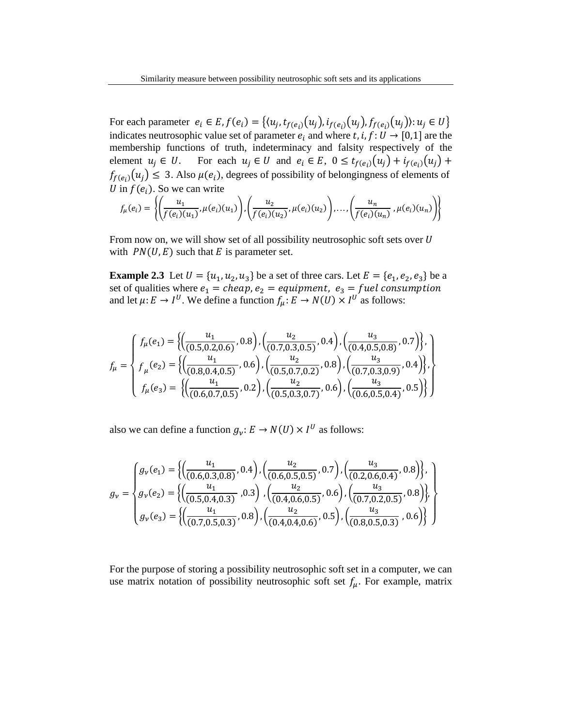For each parameter  $e_i \in E$ ,  $f(e_i) = \{(u_i, t_{f(e_i)}(u_i), t_{f(e_i)}(u_i), f_{f(e_i)}(u_i)) : u_i \in U\}$ indicates neutrosophic value set of parameter  $e_i$  and where t, i,  $f: U \rightarrow [0,1]$  are the membership functions of truth, indeterminacy and falsity respectively of the element  $u_j \in U$ . For each  $u_i \in U$  and  $e_i \in E$ ,  $0 \le t_{f(e_i)}(u_i) + i_{f(e_i)}(u_i) + \cdots$  $f_{f(e_i)}(u_j) \leq 3$ . Also  $\mu(e_i)$ , degrees of possibility of belongingness of elements of U in  $f(e_i)$ . So we can write

$$
f_{\mu}(e_i) = \left\{ \left( \frac{u_1}{f(e_i)(u_1)}, \mu(e_i)(u_1) \right), \left( \frac{u_2}{f(e_i)(u_2)}, \mu(e_i)(u_2) \right), \dots, \left( \frac{u_n}{f(e_i)(u_n)}, \mu(e_i)(u_n) \right) \right\}
$$

From now on, we will show set of all possibility neutrosophic soft sets over  $U$ with  $PN(U, E)$  such that E is parameter set.

**Example 2.3** Let  $U = \{u_1, u_2, u_3\}$  be a set of three cars. Let  $E = \{e_1, e_2, e_3\}$  be a set of qualities where  $e_1 = \text{cheap}, e_2 = \text{equipment}, e_3 = \text{fuel consumption}$ and let  $\mu: E \to I^U$ . We define a function  $f_\mu: E \to N(U) \times I^U$  as follows:

$$
f_{\mu} = \begin{cases} f_{\mu}(e_1) = \left\{ \left( \frac{u_1}{(0.5, 0.2, 0.6)}, 0.8 \right), \left( \frac{u_2}{(0.7, 0.3, 0.5)}, 0.4 \right), \left( \frac{u_3}{(0.4, 0.5, 0.8)}, 0.7 \right) \right\}, \\ f_{\mu}(e_2) = \left\{ \left( \frac{u_1}{(0.8, 0.4, 0.5)}, 0.6 \right), \left( \frac{u_2}{(0.5, 0.7, 0.2)}, 0.8 \right), \left( \frac{u_3}{(0.7, 0.3, 0.9)}, 0.4 \right) \right\}, \\ f_{\mu}(e_3) = \left\{ \left( \frac{u_1}{(0.6, 0.7, 0.5)}, 0.2 \right), \left( \frac{u_2}{(0.5, 0.3, 0.7)}, 0.6 \right), \left( \frac{u_3}{(0.6, 0.5, 0.4)}, 0.5 \right) \right\} \end{cases}
$$

also we can define a function  $g_{\nu}$ :  $E \rightarrow N(U) \times I^U$  as follows:

$$
g_{\nu} = \begin{cases} g_{\nu}(e_1) = \left\{ \left( \frac{u_1}{(0.6, 0.3, 0.8)}, 0.4 \right), \left( \frac{u_2}{(0.6, 0.5, 0.5)}, 0.7 \right), \left( \frac{u_3}{(0.2, 0.6, 0.4)}, 0.8 \right) \right\}, \\ g_{\nu}(e_2) = \left\{ \left( \frac{u_1}{(0.5, 0.4, 0.3)}, 0.3 \right), \left( \frac{u_2}{(0.4, 0.6, 0.5)}, 0.6 \right), \left( \frac{u_3}{(0.7, 0.2, 0.5)}, 0.8 \right) \right\}, \\ g_{\nu}(e_3) = \left\{ \left( \frac{u_1}{(0.7, 0.5, 0.3)}, 0.8 \right), \left( \frac{u_2}{(0.4, 0.4, 0.6)}, 0.5 \right), \left( \frac{u_3}{(0.8, 0.5, 0.3)}, 0.6 \right) \right\} \end{cases}
$$

For the purpose of storing a possibility neutrosophic soft set in a computer, we can use matrix notation of possibility neutrosophic soft set  $f_{\mu}$ . For example, matrix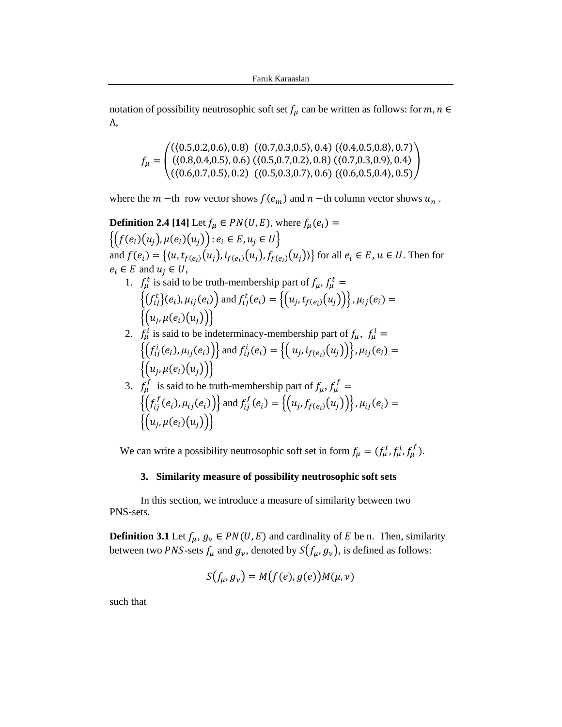notation of possibility neutrosophic soft set  $f_\mu$  can be written as follows: for  $m, n \in$ Λ,

$$
f_{\mu} = \begin{pmatrix} ((0.5, 0.2, 0.6), 0.8) & ((0.7, 0.3, 0.5), 0.4) & ((0.4, 0.5, 0.8), 0.7) \\ ((0.8, 0.4, 0.5), 0.6) & ((0.5, 0.7, 0.2), 0.8) & ((0.7, 0.3, 0.9), 0.4) \\ ((0.6, 0.7, 0.5), 0.2) & ((0.5, 0.3, 0.7), 0.6) & ((0.6, 0.5, 0.4), 0.5) \end{pmatrix}
$$

where the  $m$  -th row vector shows  $f(e_m)$  and  $n$  -th column vector shows  $u_n$ .

**Definition 2.4 [14]** Let  $f_\mu \in PN(U, E)$ , where  $f_\mu(e_i)$  =  $\{(f(e_i)(u_j), \mu(e_i)(u_j)) : e_i \in E, u_j \in U\}$ and  $f(e_i) = \{(u, t_{f(e_i)}(u_j), i_{f(e_i)}(u_j), f_{f(e_i)}(u_j))\}$  for all  $e_i \in E$ ,  $u \in U$ . Then for  $e_i \in E$  and  $u_j \in U$ , 1.  $f^t_\mu$  is said to be truth-membership part of  $f_\mu$ ,  $f^t_\mu$  =

- $\{(f_{ij}^t)(e_i), \mu_{ij}(e_i)\}$  and  $f_{ij}^t(e_i) = \{(u_j, t_{f(e_i)}(u_j))\}$ ,  $\mu_{ij}(e_i) =$  $\{(u_j, \mu(e_i)(u_j))\}\}$
- 2.  $f^i_\mu$  is said to be indeterminacy-membership part of  $f_\mu$ ,  $f^i_\mu =$  $\left\{ \left( f_{ij}^{i}(e_{i}), \mu_{ij}(e_{i}) \right) \right\}$  and  $f_{ij}^{i}(e_{i}) = \left\{ \left( u_{j}, i_{f(e_{i})}(u_{j}) \right) \right\}$ ,  $\mu_{ij}(e_{i}) =$  $\{(u_i, \mu(e_i)(u_i))\}\$
- 3.  $f^f_\mu$  is said to be truth-membership part of  $f_\mu$ ,  $f^f_\mu$  =  $\left\{ \left( f_{ij}^{f}(e_{i}), \mu_{ij}(e_{i}) \right) \right\}$  and  $f_{ij}^{f}(e_{i}) = \left\{ \left( u_{j}, f_{f(e_{i})}(u_{j}) \right) \right\}$ ,  $\mu_{ij}(e_{i}) =$  $\{(u_i, \mu(e_i)(u_i))\}$

We can write a possibility neutrosophic soft set in form  $f_{\mu} = (f_{\mu}^t, f_{\mu}^i, f_{\mu}^f)$ .

### **3. Similarity measure of possibility neutrosophic soft sets**

In this section, we introduce a measure of similarity between two PNS-sets.

**Definition 3.1** Let  $f_{\mu}$ ,  $g_{\nu} \in PN(U, E)$  and cardinality of E be n. Then, similarity between two *PNS*-sets  $f_{\mu}$  and  $g_{\nu}$ , denoted by  $S(f_{\mu}, g_{\nu})$ , is defined as follows:

$$
S(f_{\mu}, g_{\nu}) = M(f(e), g(e))M(\mu, \nu)
$$

such that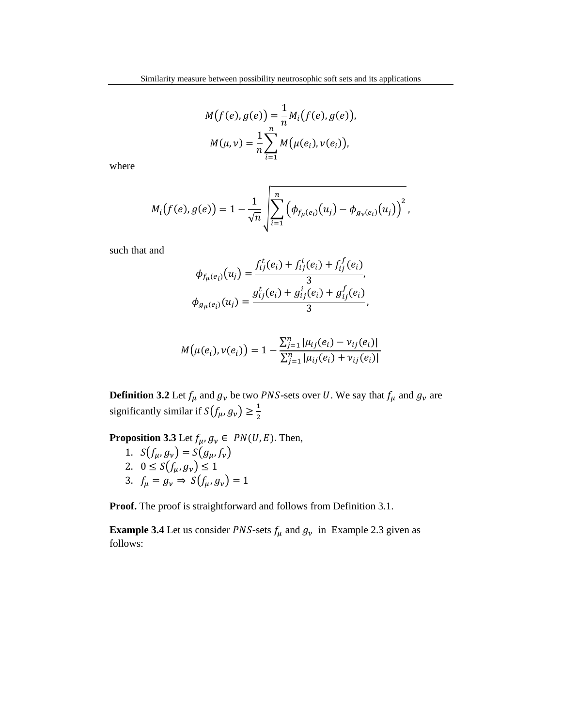$$
M(f(e), g(e)) = \frac{1}{n} M_i(f(e), g(e)),
$$
  

$$
M(\mu, \nu) = \frac{1}{n} \sum_{i=1}^n M(\mu(e_i), \nu(e_i)),
$$

where

$$
M_i(f(e), g(e)) = 1 - \frac{1}{\sqrt{n}} \sqrt{\sum_{i=1}^n (\phi_{f_\mu(e_i)}(u_j) - \phi_{g_\nu(e_i)}(u_j))^2},
$$

such that and

$$
\phi_{f_{\mu}(e_i)}(u_j) = \frac{f_{ij}^t(e_i) + f_{ij}^i(e_i) + f_{ij}^f(e_i)}{3},
$$
  

$$
\phi_{g_{\mu}(e_i)}(u_j) = \frac{g_{ij}^t(e_i) + g_{ij}^i(e_i) + g_{ij}^f(e_i)}{3},
$$

$$
M(\mu(e_i), \nu(e_i)) = 1 - \frac{\sum_{j=1}^{n} |\mu_{ij}(e_i) - \nu_{ij}(e_i)|}{\sum_{j=1}^{n} |\mu_{ij}(e_i) + \nu_{ij}(e_i)|}
$$

**Definition 3.2** Let  $f_\mu$  and  $g_\nu$  be two *PNS*-sets over *U*. We say that  $f_\mu$  and  $g_\nu$  are significantly similar if  $S(f_\mu, g_\nu) \geq \frac{1}{2}$ 

**Proposition 3.3** Let  $f_{\mu}$ ,  $g_{\nu} \in PN(U, E)$ . Then,

- 1.  $S(f_{\mu}, g_{\nu}) = S(g_{\mu}, f_{\nu})$
- 2.  $0 \le S(f_{\mu}, g_{\nu}) \le 1$
- 3.  $f_{\mu} = g_{\nu} \Rightarrow S(f_{\mu}, g_{\nu}) = 1$

**Proof.** The proof is straightforward and follows from Definition 3.1.

**Example 3.4** Let us consider *PNS*-sets  $f_{\mu}$  and  $g_{\nu}$  in Example 2.3 given as follows: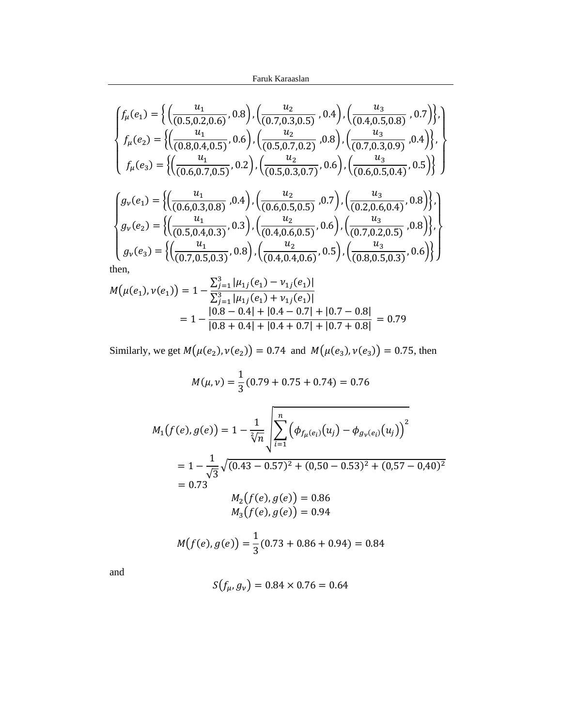Faruk Karaaslan

$$
\begin{cases}\nf_{\mu}(e_1) = \left\{ \left( \frac{u_1}{(0.5, 0.2, 0.6)}, 0.8 \right), \left( \frac{u_2}{(0.7, 0.3, 0.5)}, 0.4 \right), \left( \frac{u_3}{(0.4, 0.5, 0.8)}, 0.7 \right) \right\}, \\
f_{\mu}(e_2) = \left\{ \left( \frac{u_1}{(0.8, 0.4, 0.5)}, 0.6 \right), \left( \frac{u_2}{(0.5, 0.7, 0.2)}, 0.8 \right), \left( \frac{u_3}{(0.7, 0.3, 0.9)}, 0.4 \right) \right\}, \\
f_{\mu}(e_3) = \left\{ \left( \frac{u_1}{(0.6, 0.7, 0.5)}, 0.2 \right), \left( \frac{u_2}{(0.5, 0.3, 0.7)}, 0.6 \right), \left( \frac{u_3}{(0.6, 0.5, 0.4)}, 0.5 \right) \right\}\n\end{cases}
$$
\n
$$
\begin{cases}\ng_{\nu}(e_1) = \left\{ \left( \frac{u_1}{(0.6, 0.2, 0.8)}, 0.4 \right), \left( \frac{u_2}{(0.6, 0.5, 0.5)}, 0.7 \right), \left( \frac{u_3}{(0.2, 0.6, 0.4)}, 0.8 \right) \right\},\n\end{cases}
$$

$$
\begin{cases}\ng_{\nu}(e_1) = \left\{ \left( \frac{u_1}{(0.6, 0.3, 0.8)}, 0.4 \right), \left( \frac{u_2}{(0.6, 0.5, 0.5)}, 0.7 \right), \left( \frac{u_3}{(0.2, 0.6, 0.4)}, 0.8 \right) \right\}, \\
g_{\nu}(e_2) = \left\{ \left( \frac{u_1}{(0.5, 0.4, 0.3)}, 0.3 \right), \left( \frac{u_2}{(0.4, 0.6, 0.5)}, 0.6 \right), \left( \frac{u_3}{(0.7, 0.2, 0.5)}, 0.8 \right) \right\}, \\
g_{\nu}(e_3) = \left\{ \left( \frac{u_1}{(0.7, 0.5, 0.3)}, 0.8 \right), \left( \frac{u_2}{(0.4, 0.4, 0.6)}, 0.5 \right), \left( \frac{u_3}{(0.8, 0.5, 0.3)}, 0.6 \right) \right\}\n\end{cases}
$$

then,

$$
M(\mu(e_1), \nu(e_1)) = 1 - \frac{\sum_{j=1}^{3} |\mu_{1j}(e_1) - \nu_{1j}(e_1)|}{\sum_{j=1}^{3} |\mu_{1j}(e_1) + \nu_{1j}(e_1)|}
$$
  
= 
$$
1 - \frac{|0.8 - 0.4| + |0.4 - 0.7| + |0.7 - 0.8|}{|0.8 + 0.4| + |0.4 + 0.7| + |0.7 + 0.8|} = 0.79
$$

Similarly, we get  $M(\mu(e_2), \nu(e_2)) = 0.74$  and  $M(\mu(e_3), \nu(e_3)) = 0.75$ , then

$$
M(\mu, \nu) = \frac{1}{3} (0.79 + 0.75 + 0.74) = 0.76
$$
  

$$
M_1(f(e), g(e)) = 1 - \frac{1}{\sqrt[2]{n}} \sqrt{\sum_{i=1}^n (\phi_{f_\mu(e_i)}(u_j) - \phi_{g_\nu(e_i)}(u_j))^2}
$$
  

$$
= 1 - \frac{1}{\sqrt{3}} \sqrt{(0.43 - 0.57)^2 + (0.50 - 0.53)^2 + (0.57 - 0.40)^2}
$$
  

$$
= 0.73
$$
  

$$
M_2(f(e), g(e)) = 0.86
$$
  

$$
M_3(f(e), g(e)) = 0.94
$$
  

$$
M(f(e), g(e)) = \frac{1}{3} (0.73 + 0.86 + 0.94) = 0.84
$$

and

$$
S(f_{\mu}, g_{\nu}) = 0.84 \times 0.76 = 0.64
$$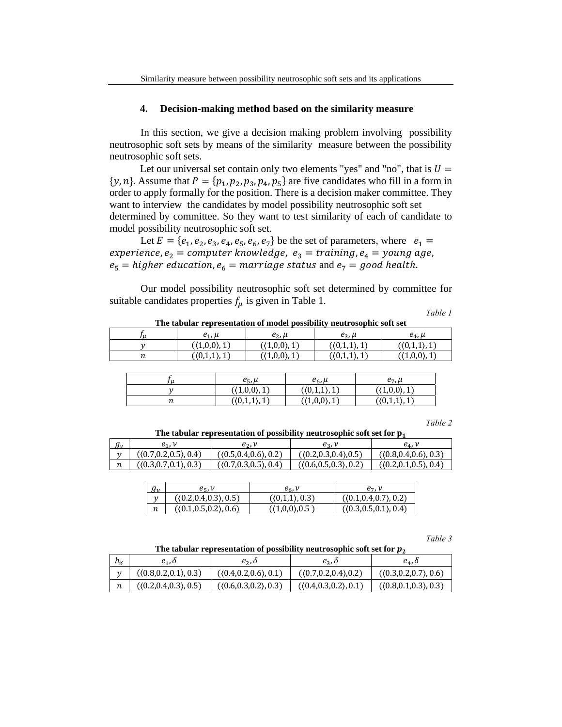## **4. Decision-making method based on the similarity measure**

In this section, we give a decision making problem involving possibility neutrosophic soft sets by means of the similarity measure between the possibility neutrosophic soft sets.

Let our universal set contain only two elements "yes" and "no", that is  $U =$  $\{y, n\}$ . Assume that  $P = \{p_1, p_2, p_3, p_4, p_5\}$  are five candidates who fill in a form in order to apply formally for the position. There is a decision maker committee. They want to interview the candidates by model possibility neutrosophic soft set determined by committee. So they want to test similarity of each of candidate to model possibility neutrosophic soft set.

Let  $E = \{e_1, e_2, e_3, e_4, e_5, e_6, e_7\}$  be the set of parameters, where  $e_1 =$  $\exp$ experience, $e_{2} =$  computer knowledge,  $e_{3} =$  training, $e_{4} =$  young age,  $e_5$  = higher education,  $e_6$  = marriage status and  $e_7$  = good health.

Our model possibility neutrosophic soft set determined by committee for suitable candidates properties  $f_{\mu}$  is given in Table 1.

*Table 1* 

**The tabular representation of model possibility neutrosophic soft set**   $f_{\mu}$  |  $e_1, \mu$  |  $e_2, \mu$  |  $e_3, \mu$  |  $e_4, \mu$  $y$  ( $(1,0,0), 1$ ) ( $(1,0,0), 1$ ) ( $(0,1,1), 1$ ) ( $(0,1,1), 1$ )  $n$  ((0,1,1), 1) ((1,0,0), 1) ((0,1,1), 1) ((1,0,0), 1)

| u   | $e_5$ , $\mu$               | $e_6$ , $\mu$  | $e_7$ , $\mu$  |
|-----|-----------------------------|----------------|----------------|
|     | $(\langle 1,0,0\rangle, 1)$ | ( (0,1,1), 1 ) | ( (1,0,0), 1 ) |
| 1 L | (0,1,1), 1)                 | (1,0,0), 1)    | (0,1,1), 1)    |

*Table 2* 

The tabular representation of possibility neutrosophic soft set for  $p_1$ 

| $g_\nu$ | ۲ı.                     | e,.                     | es.                     | $e_{\Lambda}$ ,         |
|---------|-------------------------|-------------------------|-------------------------|-------------------------|
|         | ( (0.7, 0.2, 0.5), 0.4) | ( (0.5.0.4.0.6), 0.2)   | (0.2, 0.3, 0.4), 0.5)   | ( (0.8, 0.4, 0.6), 0.3) |
|         | ( (0.3, 0.7, 0.1), 0.3) | ( (0.7, 0.3, 0.5), 0.4) | ( (0.6, 0.5, 0.3), 0.2) | ((0.2,0.1,0.5), 0.4)    |

| $g_{\nu}$ | $e_{5}$ , $\nu$        | $e_6, v$         | $e_7.$ $\nu$          |
|-----------|------------------------|------------------|-----------------------|
|           | ((0.2, 0.4, 0.3), 0.5) | ( (0,1,1), 0.3 ) | (0.1, 0.4, 0.7), 0.2) |
| n         | (0.1, 0.5, 0.2), 0.6)  | ( (1,0,0), 0.5)  | (0.3, 0.5, 0.1), 0.4) |

*Table 3* 

| The tabular representation of possibility neutrosophic soft set for $p_2$ |
|---------------------------------------------------------------------------|
|---------------------------------------------------------------------------|

| $h_{\delta}$ | $e_1$ , 0                              | $e_2$ , $\delta$       | $e_3$ , $\delta$        | $e_{\scriptscriptstyle\Lambda}$ , 0 |
|--------------|----------------------------------------|------------------------|-------------------------|-------------------------------------|
| $\mathbf{v}$ | ((0.8, 0.2, 0.1), 0.3)                 | ((0.4, 0.2, 0.6), 0.1) | ( (0.7, 0.2, 0.4), 0.2) | ((0.3, 0.2, 0.7), 0.6)              |
| n            | $(\langle 0.2, 0.4, 0.3 \rangle, 0.5)$ | ( (0.6,0.3,0.2), 0.3)  | ((0.4, 0.3, 0.2), 0.1)  | ((0.8, 0.1, 0.3), 0.3)              |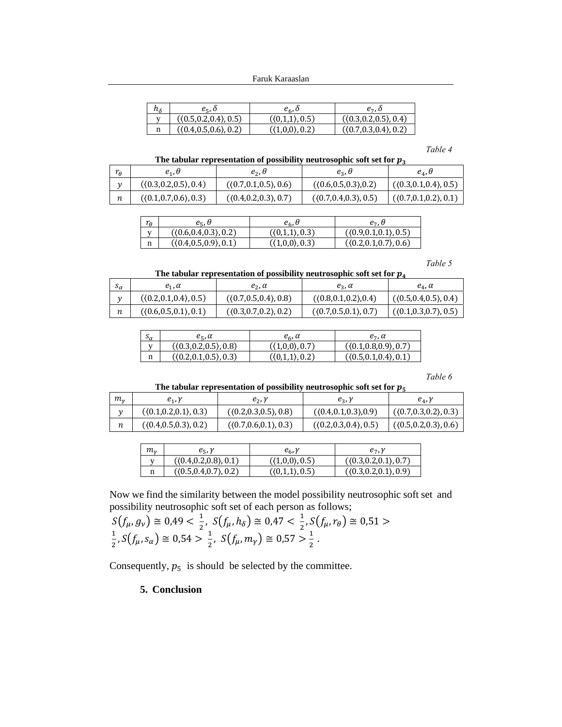| $n_{\delta}$ | e., o                  | e <sub>6</sub> , o             | e-, o                   |
|--------------|------------------------|--------------------------------|-------------------------|
|              | ((0.5, 0.2, 0.4), 0.5) | $(0,1,1)$ , 0.5)               | ((0.3, 0.2, 0.5), 0.4)  |
|              | (0.4, 0.5, 0.6), 0.2)  | $(\langle 1,0,0 \rangle, 0.2)$ | ( (0.7, 0.3, 0.4), 0.2) |

#### *Table 4*

### **The tabular representation of possibility neutrosophic soft set for**

| $r_{\theta}$  | $e_1$ , $\theta$        | $e_2$ , $\theta$        | $e_3$ , $\theta$        | $e_{\scriptscriptstyle A}$ , $\theta$ |
|---------------|-------------------------|-------------------------|-------------------------|---------------------------------------|
| $\mathcal{U}$ | ((0.3, 0.2, 0.5), 0.4)  | ((0.7, 0.1, 0.5), 0.6)  | ( (0.6, 0.5, 0.3), 0.2) | ( (0.3, 0.1, 0.4), 0.5)               |
| п             | ( (0.1, 0.7, 0.6), 0.3) | ( (0.4, 0.2, 0.3), 0.7) | ((0.7, 0.4, 0.3), 0.5)  | (0.7, 0.1, 0.2), 0.1)                 |

| $\sim$<br>I A | $e_{\epsilon}$ , $\theta$ | $e_{\epsilon}$ , $\theta$ | e-. U                  |
|---------------|---------------------------|---------------------------|------------------------|
| <b>TT</b>     | ( (0.6, 0.4, 0.3), 0.2)   | (0,1,1), 0.3)             | ((0.9, 0.1, 0.1), 0.5) |
| n             | ((0.4,0.5,0.9), 0.1)      | $(1,0,0)$ , 0.3)          | ((0.2,0.1,0.7), 0.6)   |

#### *Table 5*

# **The tabular representation of possibility neutrosophic soft set for**

| $\mathfrak{a}$ | $e_1$ , $\alpha$        | $e_2$ , $\alpha$        | $e_3$ , $\alpha$        | $e_{\alpha}$ , $\alpha$ |
|----------------|-------------------------|-------------------------|-------------------------|-------------------------|
|                | ( (0.2, 0.1, 0.4), 0.5) | (0.7, 0.5, 0.4), 0.8)   | ( (0.8, 0.1, 0.2), 0.4) | (0.5, 0.4, 0.5), 0.4)   |
|                | ( (0.6, 0.5, 0.1), 0.1) | ( (0.3, 0.7, 0.2), 0.2) | (0.7, 0.5, 0.1), 0.7)   | ( (0.1, 0.3, 0.7), 0.5) |

| $S_{\alpha}$ | $e_{\epsilon}$ , $\alpha$ | $e_6$ , $\alpha$                 | $e_7$ , $\alpha$        |
|--------------|---------------------------|----------------------------------|-------------------------|
|              | ( (0.3, 0.2, 0.5), 0.8)   | $(\langle 1{,}0{,}0\rangle,0.7)$ | ( (0.1, 0.8, 0.9), 0.7) |
| n            | ((0.2, 0.1, 0.5), 0.3)    | ( (0,1,1), 0.2)                  | ((0.5, 0.1, 0.4), 0.1)  |

### *Table 6*

#### **The tabular representation of possibility neutrosophic soft set for**

| т.,           | $e_1, \gamma$          | $e_2$ , $\gamma$        | $e_3$ , $\gamma$                       | $e_4, \gamma$           |
|---------------|------------------------|-------------------------|----------------------------------------|-------------------------|
| $\mathcal{U}$ | ((0.1, 0.2, 0.1), 0.3) | ((0.2, 0.3, 0.5), 0.8)  | ( (0.4, 0.1, 0.3), 0.9)                | ( (0.7, 0.3, 0.2), 0.3) |
| п             | ((0.4, 0.5, 0.3), 0.2) | ( (0.7, 0.6, 0.1), 0.3) | $(\langle 0.2, 0.3, 0.4 \rangle, 0.5)$ | ( (0.5, 0.2, 0.3), 0.6) |

| $m_{\nu}$ | $e_5$ , $\gamma$       | $e_6$ , $\gamma$               | $e_7$ , $\nu$           |
|-----------|------------------------|--------------------------------|-------------------------|
|           | ((0.4, 0.2, 0.8), 0.1) | $(\langle 1,0,0 \rangle, 0.5)$ | ( (0.3, 0.2, 0.1), 0.7) |
| n         | ((0.5, 0.4, 0.7), 0.2) | ((0,1,1),0.5)                  | ((0.3, 0.2, 0.1), 0.9)  |

Now we find the similarity between the model possibility neutrosophic soft set and possibility neutrosophic soft set of each person as follows;

$$
S(f_{\mu}, g_{\nu}) \cong 0,49 < \frac{1}{2}, \, S(f_{\mu}, h_{\delta}) \cong 0,47 < \frac{1}{2}, \, S(f_{\mu}, r_{\theta}) \cong 0,51 > \frac{1}{2}, \, S(f_{\mu}, s_{\alpha}) \cong 0,54 > \frac{1}{2}, \, S(f_{\mu}, m_{\gamma}) \cong 0,57 > \frac{1}{2} \, .
$$

Consequently,  $p_5$  is should be selected by the committee.

# **5. Conclusion**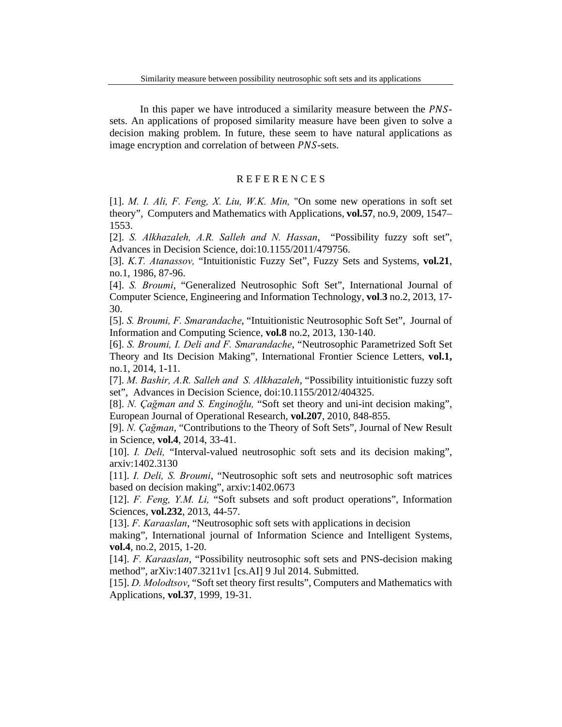In this paper we have introduced a similarity measure between the *PNS*sets. An applications of proposed similarity measure have been given to solve a decision making problem. In future, these seem to have natural applications as image encryption and correlation of between *PNS*-sets.

# R E F E R E N C E S

[1]. *M. I. Ali, F. Feng, X. Liu, W.K. Min,* "On some new operations in soft set theory", Computers and Mathematics with Applications, **vol.57**, no.9, 2009, 1547– 1553.

[2]. *S. Alkhazaleh, A.R. Salleh and N. Hassan*, "Possibility fuzzy soft set", Advances in Decision Science, doi:10.1155/2011/479756.

[3]. *K.T. Atanassov,* "Intuitionistic Fuzzy Set", Fuzzy Sets and Systems, **vol.21**, no.1, 1986, 87-96.

[4]. *S. Broumi*, "Generalized Neutrosophic Soft Set", International Journal of Computer Science, Engineering and Information Technology, **vol**.**3** no.2, 2013, 17- 30.

[5]. *S. Broumi, F. Smarandache*, "Intuitionistic Neutrosophic Soft Set", Journal of Information and Computing Science, **vol.8** no.2, 2013, 130-140.

[6]. *S. Broumi, I. Deli and F. Smarandache*, "Neutrosophic Parametrized Soft Set Theory and Its Decision Making", International Frontier Science Letters, **vol.1,**  no.1, 2014, 1-11.

[7]. *M. Bashir, A.R. Salleh and S. Alkhazaleh*, "Possibility intuitionistic fuzzy soft set", Advances in Decision Science, doi:10.1155/2012/404325.

[8]. *N. Çağman and S. Enginoğlu,* "Soft set theory and uni-int decision making", European Journal of Operational Research, **vol.207**, 2010, 848-855.

[9]. *N. Çağman*, "Contributions to the Theory of Soft Sets", Journal of New Result in Science, **vol.4**, 2014, 33-41.

[10]. *I. Deli,* "Interval-valued neutrosophic soft sets and its decision making", arxiv:1402.3130

[11]. *I. Deli, S. Broumi*, "Neutrosophic soft sets and neutrosophic soft matrices based on decision making", arxiv:1402.0673

[12]. *F. Feng, Y.M. Li,* "Soft subsets and soft product operations", Information Sciences, **vol.232**, 2013, 44-57.

[13]. *F. Karaaslan*, "Neutrosophic soft sets with applications in decision

making", International journal of Information Science and Intelligent Systems, **vol.4**, no.2, 2015, 1-20.

[14]. *F. Karaaslan*, "Possibility neutrosophic soft sets and PNS-decision making method", arXiv:1407.3211v1 [cs.AI] 9 Jul 2014. Submitted.

[15]. *D. Molodtsov*, "Soft set theory first results", Computers and Mathematics with Applications, **vol.37**, 1999, 19-31.